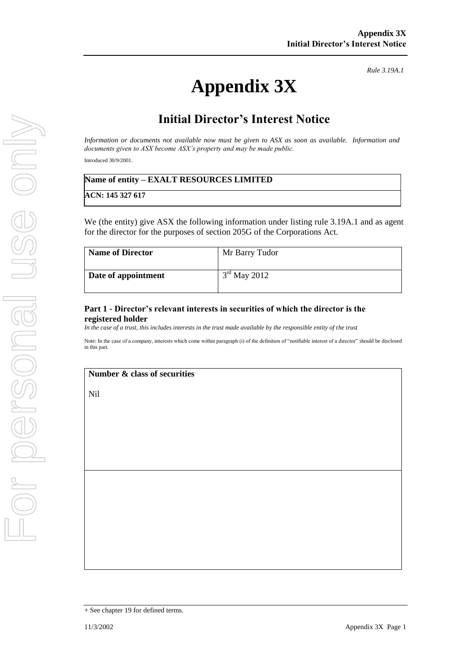# **Appendix 3X**

*Rule 3.19A.1*

## **Initial Director's Interest Notice**

*Information or documents not available now must be given to ASX as soon as available. Information and documents given to ASX become ASX's property and may be made public.*

Introduced 30/9/2001.

| Name of entity – EXALT RESOURCES LIMITED |  |
|------------------------------------------|--|
|------------------------------------------|--|

**ACN: 145 327 617**

We (the entity) give ASX the following information under listing rule 3.19A.1 and as agent for the director for the purposes of section 205G of the Corporations Act.

| <b>Name of Director</b> | Mr Barry Tudor |
|-------------------------|----------------|
| Date of appointment     | $3rd$ May 2012 |

#### **Part 1 - Director's relevant interests in securities of which the director is the registered holder**

*In the case of a trust, this includes interests in the trust made available by the responsible entity of the trust*

Note: In the case of a company, interests which come within paragraph (i) of the definition of "notifiable interest of a director" should be disclosed in this part.

#### **Number & class of securities**

Nil

<sup>+</sup> See chapter 19 for defined terms.